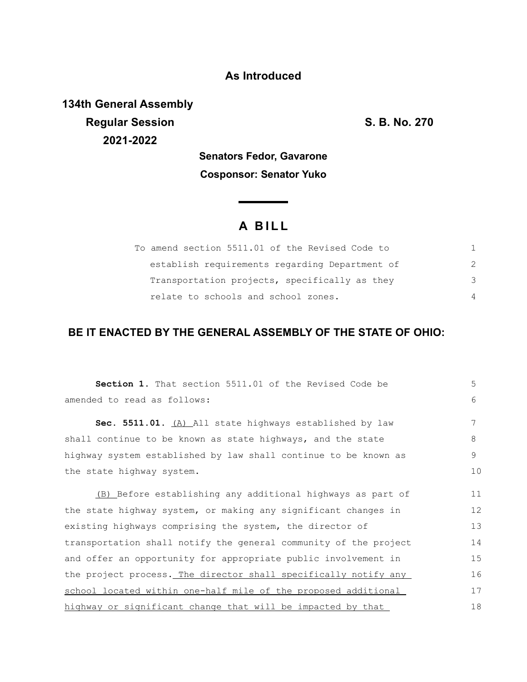### **As Introduced**

**134th General Assembly Regular Session S. B. No. 270 2021-2022**

**Senators Fedor, Gavarone Cosponsor: Senator Yuko**

# **A B I L L**

**Service Contractor** 

| To amend section 5511.01 of the Revised Code to |          |
|-------------------------------------------------|----------|
| establish requirements regarding Department of  |          |
| Transportation projects, specifically as they   | -२       |
| relate to schools and school zones.             | $\Delta$ |

## **BE IT ENACTED BY THE GENERAL ASSEMBLY OF THE STATE OF OHIO:**

| Section 1. That section 5511.01 of the Revised Code be           | 5  |
|------------------------------------------------------------------|----|
| amended to read as follows:                                      | 6  |
| Sec. 5511.01. (A) All state highways established by law          | 7  |
| shall continue to be known as state highways, and the state      | 8  |
| highway system established by law shall continue to be known as  | 9  |
| the state highway system.                                        | 10 |
| (B) Before establishing any additional highways as part of       | 11 |
| the state highway system, or making any significant changes in   | 12 |
| existing highways comprising the system, the director of         | 13 |
| transportation shall notify the general community of the project | 14 |
| and offer an opportunity for appropriate public involvement in   | 15 |
| the project process. The director shall specifically notify any  | 16 |
| school located within one-half mile of the proposed additional   | 17 |
| highway or significant change that will be impacted by that      | 18 |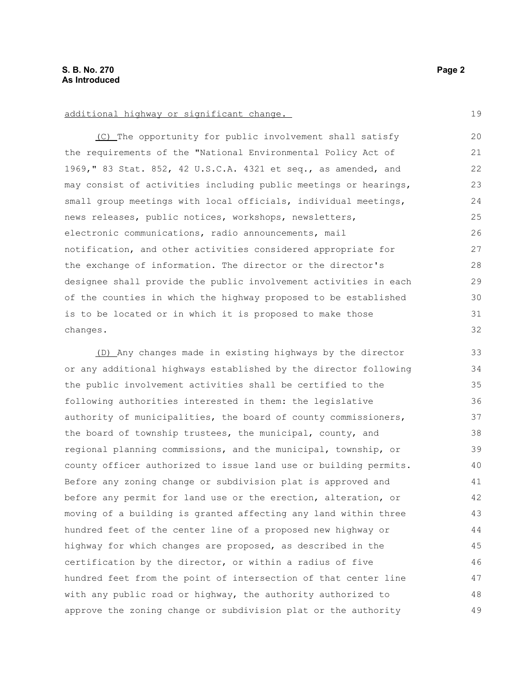#### additional highway or significant change.

(C) The opportunity for public involvement shall satisfy the requirements of the "National Environmental Policy Act of 1969," 83 Stat. 852, 42 U.S.C.A. 4321 et seq., as amended, and may consist of activities including public meetings or hearings, small group meetings with local officials, individual meetings, news releases, public notices, workshops, newsletters, electronic communications, radio announcements, mail notification, and other activities considered appropriate for the exchange of information. The director or the director's designee shall provide the public involvement activities in each of the counties in which the highway proposed to be established is to be located or in which it is proposed to make those changes. 20 21 22 23 24 25 26 27 28 29 30 31 32

(D) Any changes made in existing highways by the director or any additional highways established by the director following the public involvement activities shall be certified to the following authorities interested in them: the legislative authority of municipalities, the board of county commissioners, the board of township trustees, the municipal, county, and regional planning commissions, and the municipal, township, or county officer authorized to issue land use or building permits. Before any zoning change or subdivision plat is approved and before any permit for land use or the erection, alteration, or moving of a building is granted affecting any land within three hundred feet of the center line of a proposed new highway or highway for which changes are proposed, as described in the certification by the director, or within a radius of five hundred feet from the point of intersection of that center line with any public road or highway, the authority authorized to approve the zoning change or subdivision plat or the authority 33 34 35 36 37 38 39 40 41 42 43 44 45 46 47 48 49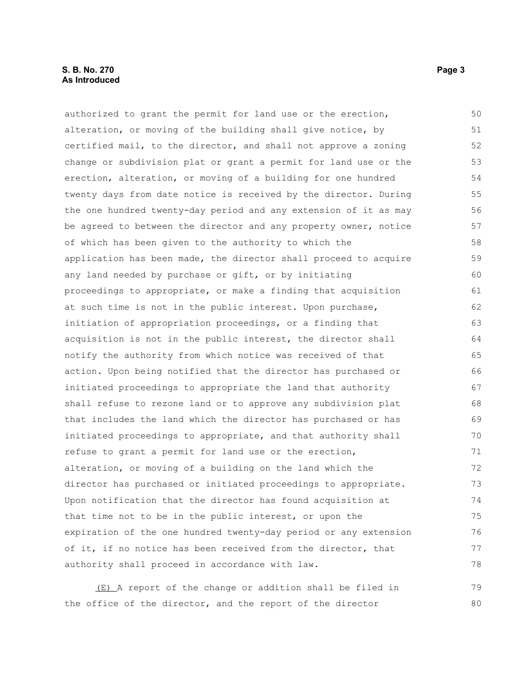#### **S. B. No. 270** Page 3 **As Introduced**

authorized to grant the permit for land use or the erection, alteration, or moving of the building shall give notice, by certified mail, to the director, and shall not approve a zoning change or subdivision plat or grant a permit for land use or the erection, alteration, or moving of a building for one hundred twenty days from date notice is received by the director. During the one hundred twenty-day period and any extension of it as may be agreed to between the director and any property owner, notice of which has been given to the authority to which the application has been made, the director shall proceed to acquire any land needed by purchase or gift, or by initiating proceedings to appropriate, or make a finding that acquisition at such time is not in the public interest. Upon purchase, initiation of appropriation proceedings, or a finding that acquisition is not in the public interest, the director shall notify the authority from which notice was received of that action. Upon being notified that the director has purchased or initiated proceedings to appropriate the land that authority shall refuse to rezone land or to approve any subdivision plat that includes the land which the director has purchased or has initiated proceedings to appropriate, and that authority shall refuse to grant a permit for land use or the erection, alteration, or moving of a building on the land which the director has purchased or initiated proceedings to appropriate. Upon notification that the director has found acquisition at that time not to be in the public interest, or upon the expiration of the one hundred twenty-day period or any extension of it, if no notice has been received from the director, that authority shall proceed in accordance with law. (E) A report of the change or addition shall be filed in 50 51 52 53 54 55 56 57 58 59 60 61 62 63 64 65 66 67 68 69 70 71 72 73 74 75 76 77 78 79

the office of the director, and the report of the director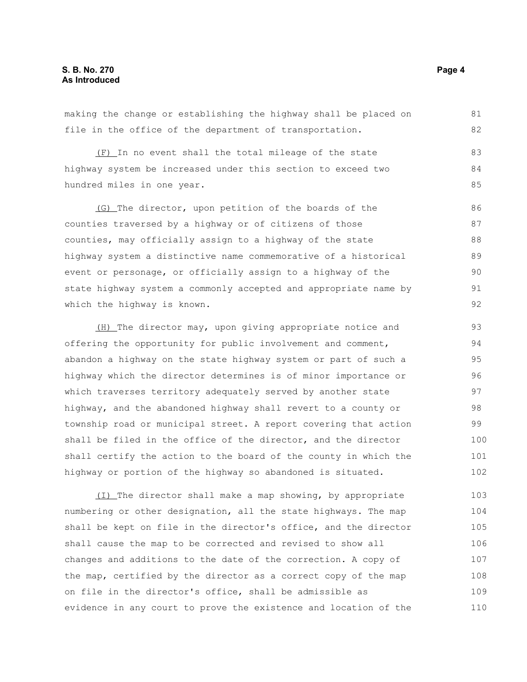making the change or establishing the highway shall be placed on file in the office of the department of transportation. 81 82

(F) In no event shall the total mileage of the state highway system be increased under this section to exceed two hundred miles in one year.

(G) The director, upon petition of the boards of the counties traversed by a highway or of citizens of those counties, may officially assign to a highway of the state highway system a distinctive name commemorative of a historical event or personage, or officially assign to a highway of the state highway system a commonly accepted and appropriate name by which the highway is known. 86 87 88 89 90 91 92

(H) The director may, upon giving appropriate notice and offering the opportunity for public involvement and comment, abandon a highway on the state highway system or part of such a highway which the director determines is of minor importance or which traverses territory adequately served by another state highway, and the abandoned highway shall revert to a county or township road or municipal street. A report covering that action shall be filed in the office of the director, and the director shall certify the action to the board of the county in which the highway or portion of the highway so abandoned is situated. 93 94 95 96 97 98 99 100 101 102

(I) The director shall make a map showing, by appropriate numbering or other designation, all the state highways. The map shall be kept on file in the director's office, and the director shall cause the map to be corrected and revised to show all changes and additions to the date of the correction. A copy of the map, certified by the director as a correct copy of the map on file in the director's office, shall be admissible as evidence in any court to prove the existence and location of the 103 104 105 106 107 108 109 110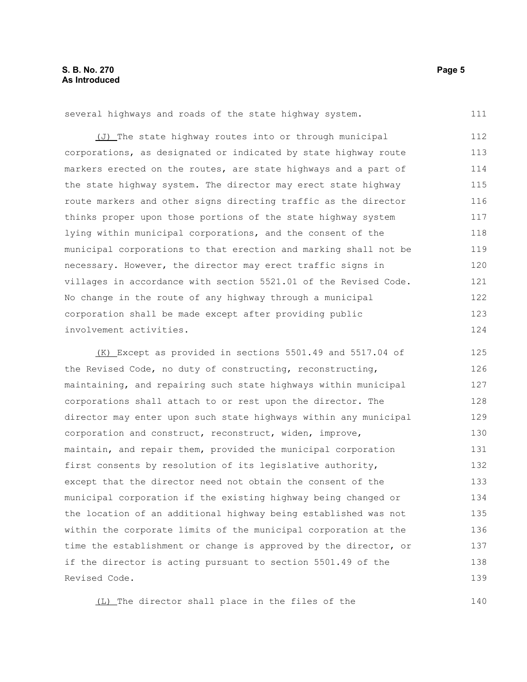several highways and roads of the state highway system.

(J) The state highway routes into or through municipal corporations, as designated or indicated by state highway route markers erected on the routes, are state highways and a part of the state highway system. The director may erect state highway route markers and other signs directing traffic as the director thinks proper upon those portions of the state highway system lying within municipal corporations, and the consent of the municipal corporations to that erection and marking shall not be necessary. However, the director may erect traffic signs in villages in accordance with section 5521.01 of the Revised Code. No change in the route of any highway through a municipal corporation shall be made except after providing public involvement activities. 112 113 114 115 116 117 118 119 120 121 122 123 124

(K) Except as provided in sections 5501.49 and 5517.04 of the Revised Code, no duty of constructing, reconstructing, maintaining, and repairing such state highways within municipal corporations shall attach to or rest upon the director. The director may enter upon such state highways within any municipal corporation and construct, reconstruct, widen, improve, maintain, and repair them, provided the municipal corporation first consents by resolution of its legislative authority, except that the director need not obtain the consent of the municipal corporation if the existing highway being changed or the location of an additional highway being established was not within the corporate limits of the municipal corporation at the time the establishment or change is approved by the director, or if the director is acting pursuant to section 5501.49 of the Revised Code. 125 126 127 128 129 130 131 132 133 134 135 136 137 138 139

(L) The director shall place in the files of the

140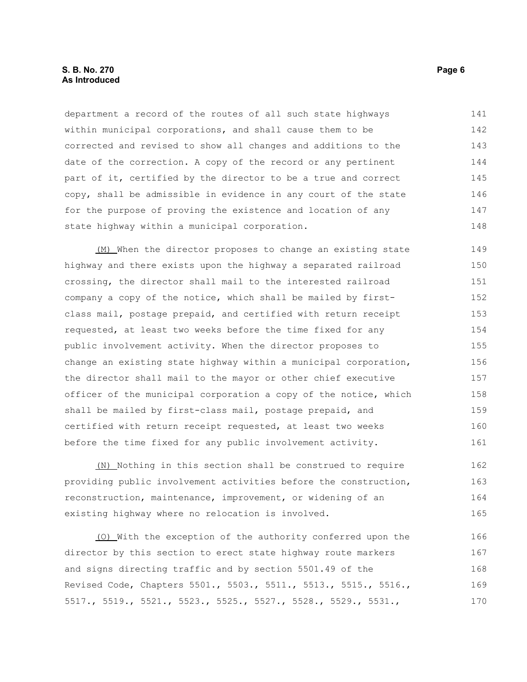#### **S. B. No. 270** Page 6 **As Introduced**

department a record of the routes of all such state highways within municipal corporations, and shall cause them to be corrected and revised to show all changes and additions to the date of the correction. A copy of the record or any pertinent part of it, certified by the director to be a true and correct copy, shall be admissible in evidence in any court of the state for the purpose of proving the existence and location of any state highway within a municipal corporation. 141 142 143 144 145 146 147 148

(M) When the director proposes to change an existing state highway and there exists upon the highway a separated railroad crossing, the director shall mail to the interested railroad company a copy of the notice, which shall be mailed by firstclass mail, postage prepaid, and certified with return receipt requested, at least two weeks before the time fixed for any public involvement activity. When the director proposes to change an existing state highway within a municipal corporation, the director shall mail to the mayor or other chief executive officer of the municipal corporation a copy of the notice, which shall be mailed by first-class mail, postage prepaid, and certified with return receipt requested, at least two weeks before the time fixed for any public involvement activity. 149 150 151 152 153 154 155 156 157 158 159 160 161

(N) Nothing in this section shall be construed to require providing public involvement activities before the construction, reconstruction, maintenance, improvement, or widening of an existing highway where no relocation is involved. 162 163 164 165

(O) With the exception of the authority conferred upon the director by this section to erect state highway route markers and signs directing traffic and by section 5501.49 of the Revised Code, Chapters 5501., 5503., 5511., 5513., 5515., 5516., 5517., 5519., 5521., 5523., 5525., 5527., 5528., 5529., 5531., 166 167 168 169 170